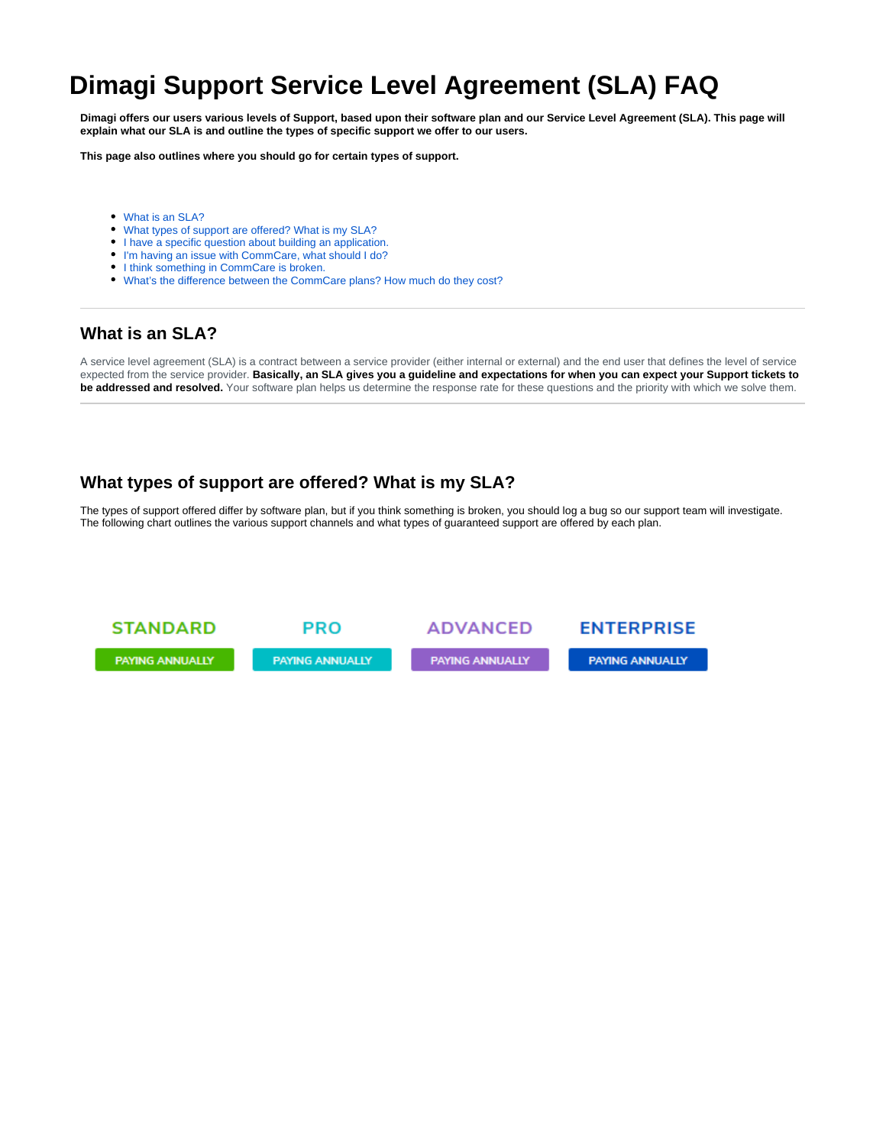# **Dimagi Support Service Level Agreement (SLA) FAQ**

**Dimagi offers our users various levels of Support, based upon their software plan and our Service Level Agreement (SLA). This page will explain what our SLA is and outline the types of specific support we offer to our users.**

**This page also outlines where you should go for certain types of support.**

- [What is an SLA?](#page-0-0)
- [What types of support are offered? What is my SLA?](#page-0-1)
- [I have a specific question about building an application.](#page-1-0)
- [I'm having an issue with CommCare, what should I do?](#page-2-0)
- [I think something in CommCare is broken.](#page-2-1)
- [What's the difference between the CommCare plans? How much do they cost?](#page-2-2)

# <span id="page-0-0"></span>**What is an SLA?**

A service level agreement (SLA) is a contract between a service provider (either internal or external) and the end user that defines the level of service expected from the service provider. **Basically, an SLA gives you a guideline and expectations for when you can expect your Support tickets to be addressed and resolved.** Your software plan helps us determine the response rate for these questions and the priority with which we solve them.

# <span id="page-0-1"></span>**What types of support are offered? What is my SLA?**

The types of support offered differ by software plan, but if you think something is broken, you should log a bug so our support team will investigate. The following chart outlines the various support channels and what types of guaranteed support are offered by each plan.

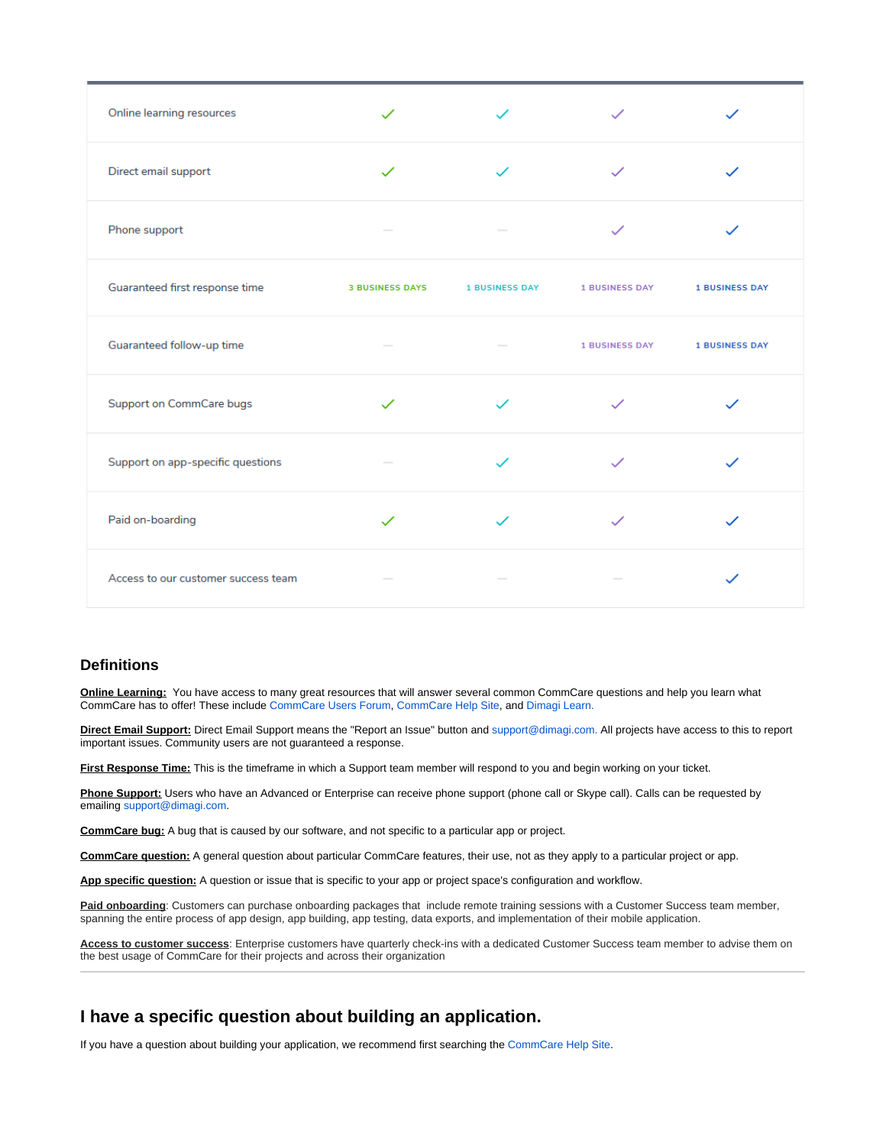| Online learning resources           |                        |                       |                       |                       |
|-------------------------------------|------------------------|-----------------------|-----------------------|-----------------------|
| Direct email support                | $\checkmark$           |                       |                       |                       |
| Phone support                       |                        |                       |                       |                       |
| Guaranteed first response time      | <b>3 BUSINESS DAYS</b> | <b>1 BUSINESS DAY</b> | <b>1 BUSINESS DAY</b> | <b>1 BUSINESS DAY</b> |
| Guaranteed follow-up time           |                        |                       | <b>1 BUSINESS DAY</b> | <b>1 BUSINESS DAY</b> |
| Support on CommCare bugs            | $\checkmark$           |                       |                       |                       |
| Support on app-specific questions   |                        |                       |                       |                       |
| Paid on-boarding                    |                        |                       |                       |                       |
| Access to our customer success team |                        |                       |                       |                       |

#### **Definitions**

**Online Learning:** You have access to many great resources that will answer several common CommCare questions and help you learn what CommCare has to offer! These include [CommCare Users Forum](https://confluence.dimagi.com/https:), [CommCare Help Site](https://confluence.dimagi.com/display/commcarepublic/Home), and [Dimagi Learn.](http://www.dimagi.com/learn/)

**Direct Email Support:** Direct Email Support means the "Report an Issue" button and [support@dimagi.com.](mailto:support@dimagi.com.) All projects have access to this to report important issues. Community users are not guaranteed a response.

**First Response Time:** This is the timeframe in which a Support team member will respond to you and begin working on your ticket.

**Phone Support:** Users who have an Advanced or Enterprise can receive phone support (phone call or Skype call). Calls can be requested by emailing [support@dimagi.com.](mailto:support@dimagi.com)

**CommCare bug:** A bug that is caused by our software, and not specific to a particular app or project.

**CommCare question:** A general question about particular CommCare features, their use, not as they apply to a particular project or app.

**App specific question:** A question or issue that is specific to your app or project space's configuration and workflow.

Paid onboarding: Customers can purchase onboarding packages that include remote training sessions with a Customer Success team member, spanning the entire process of app design, app building, app testing, data exports, and implementation of their mobile application.

**Access to customer success**: Enterprise customers have quarterly check-ins with a dedicated Customer Success team member to advise them on the best usage of CommCare for their projects and across their organization

# <span id="page-1-0"></span>**I have a specific question about building an application.**

If you have a question about building your application, we recommend first searching the [CommCare Help Site.](https://confluence.dimagi.com/display/commcarepublic/Home)